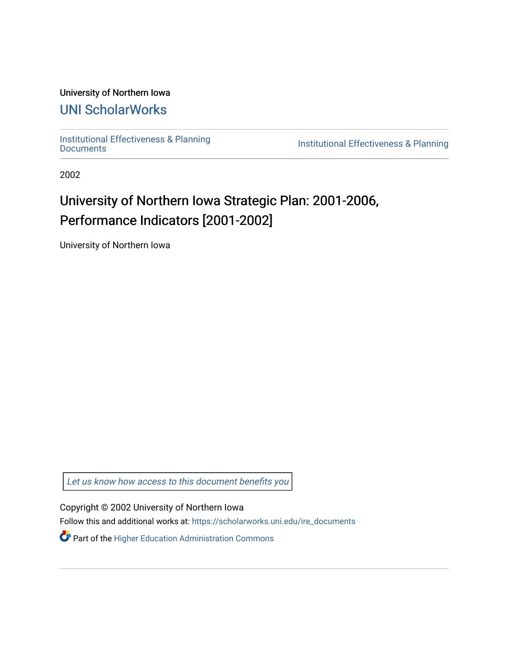#### University of Northern Iowa

### [UNI ScholarWorks](https://scholarworks.uni.edu/)

[Institutional Effectiveness & Planning](https://scholarworks.uni.edu/ire_documents)

Institutional Effectiveness & Planning

2002

## University of Northern Iowa Strategic Plan: 2001-2006, Performance Indicators [2001-2002]

University of Northern Iowa

[Let us know how access to this document benefits you](https://scholarworks.uni.edu/feedback_form.html) 

Copyright © 2002 University of Northern Iowa

Follow this and additional works at: [https://scholarworks.uni.edu/ire\\_documents](https://scholarworks.uni.edu/ire_documents?utm_source=scholarworks.uni.edu%2Fire_documents%2F277&utm_medium=PDF&utm_campaign=PDFCoverPages) 

Part of the [Higher Education Administration Commons](http://network.bepress.com/hgg/discipline/791?utm_source=scholarworks.uni.edu%2Fire_documents%2F277&utm_medium=PDF&utm_campaign=PDFCoverPages)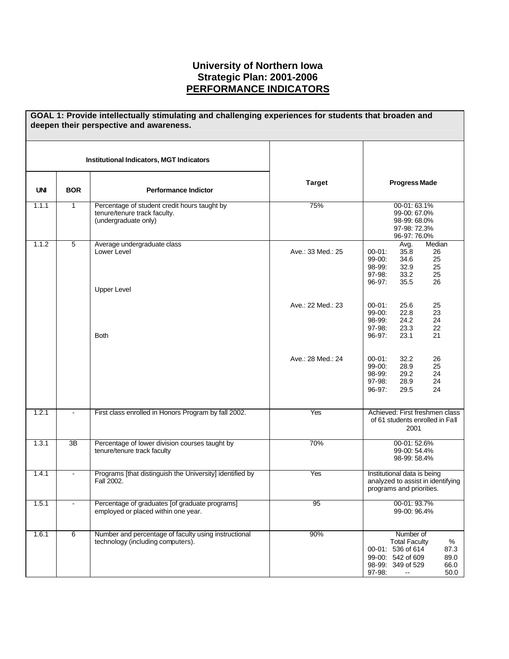#### **University of Northern Iowa Strategic Plan: 2001-2006 PERFORMANCE INDICATORS**

|            | GOAL 1: Provide intellectually stimulating and challenging experiences for students that broaden and<br>deepen their perspective and awareness. |                                                                                                      |                   |                                                                                                                                                       |  |
|------------|-------------------------------------------------------------------------------------------------------------------------------------------------|------------------------------------------------------------------------------------------------------|-------------------|-------------------------------------------------------------------------------------------------------------------------------------------------------|--|
|            |                                                                                                                                                 | <b>Institutional Indicators, MGT Indicators</b>                                                      |                   |                                                                                                                                                       |  |
| <b>UNI</b> | <b>BOR</b>                                                                                                                                      | <b>Performance Indictor</b>                                                                          | <b>Target</b>     | <b>Progress Made</b>                                                                                                                                  |  |
| 1.1.1      | $\mathbf{1}$                                                                                                                                    | Percentage of student credit hours taught by<br>tenure/tenure track faculty.<br>(undergraduate only) | 75%               | 00-01: 63.1%<br>99-00: 67.0%<br>98-99: 68.0%<br>97-98: 72.3%<br>96-97: 76.0%                                                                          |  |
| 1.1.2      | $\overline{5}$                                                                                                                                  | Average undergraduate class<br>Lower Level<br><b>Upper Level</b>                                     | Ave.: 33 Med.: 25 | Median<br>Avg.<br>35.8<br>$00 - 01$ :<br>26<br>99-00:<br>34.6<br>25<br>98-99:<br>32.9<br>25<br>97-98:<br>25<br>33.2<br>96-97:<br>35.5<br>26           |  |
|            |                                                                                                                                                 |                                                                                                      | Ave.: 22 Med.: 23 | $00 - 01$ :<br>25.6<br>25<br>99-00:<br>22.8<br>23<br>98-99:<br>24.2<br>24<br>97-98:<br>23.3<br>22                                                     |  |
|            |                                                                                                                                                 | <b>Both</b>                                                                                          | Ave.: 28 Med.: 24 | 96-97:<br>23.1<br>21<br>$00 - 01$ :<br>32.2<br>26<br>99-00:<br>28.9<br>25<br>98-99:<br>29.2<br>24<br>97-98:<br>28.9<br>24<br>96-97:<br>29.5<br>24     |  |
| 1.2.1      |                                                                                                                                                 | First class enrolled in Honors Program by fall 2002.                                                 | Yes               | Achieved: First freshmen class<br>of 61 students enrolled in Fall<br>2001                                                                             |  |
| 1.3.1      | 3B                                                                                                                                              | Percentage of lower division courses taught by<br>tenure/tenure track faculty                        | 70%               | 00-01: 52.6%<br>99-00: 54.4%<br>98-99: 58.4%                                                                                                          |  |
| 1.4.1      | $\blacksquare$                                                                                                                                  | Programs [that distinguish the University] identified by<br>Fall 2002.                               | Yes               | Institutional data is being<br>analyzed to assist in identifying<br>programs and priorities.                                                          |  |
| 1.5.1      |                                                                                                                                                 | Percentage of graduates [of graduate programs]<br>employed or placed within one year.                | 95                | 00-01: 93.7%<br>99-00: 96.4%                                                                                                                          |  |
| 1.6.1      | 6                                                                                                                                               | Number and percentage of faculty using instructional<br>technology (including computers).            | 90%               | Number of<br>%<br><b>Total Faculty</b><br>00-01: 536 of 614<br>87.3<br>99-00: 542 of 609<br>89.0<br>98-99: 349 of 529<br>66.0<br>97-98:<br>50.0<br>۰. |  |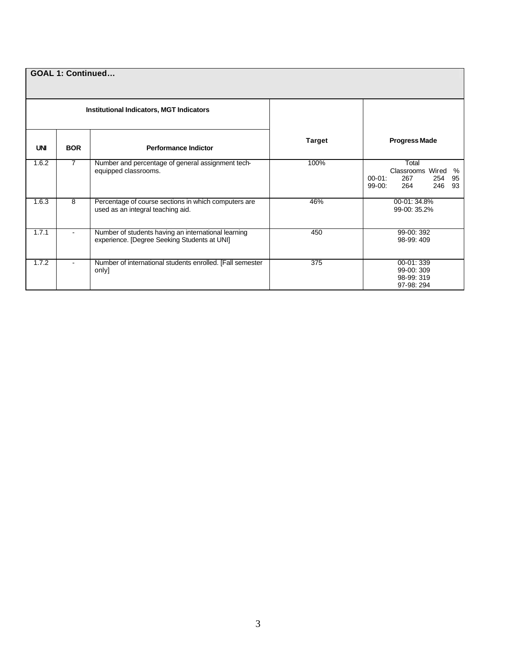| <b>GOAL 1: Continued</b> |                |                                                                                                     |               |                                                                                              |  |
|--------------------------|----------------|-----------------------------------------------------------------------------------------------------|---------------|----------------------------------------------------------------------------------------------|--|
|                          |                | <b>Institutional Indicators, MGT Indicators</b>                                                     |               |                                                                                              |  |
| <b>UNI</b>               | <b>BOR</b>     | <b>Performance Indictor</b>                                                                         | <b>Target</b> | <b>Progress Made</b>                                                                         |  |
| 1.6.2                    | $\overline{7}$ | Number and percentage of general assignment tech-<br>equipped classrooms.                           | 100%          | Total<br>Classrooms Wired<br>%<br>$00-01:$<br>267<br>95<br>254<br>93<br>246<br>264<br>99-00: |  |
| 1.6.3                    | 8              | Percentage of course sections in which computers are<br>used as an integral teaching aid.           | 46%           | 00-01:34.8%<br>99-00: 35.2%                                                                  |  |
| 1.7.1                    |                | Number of students having an international learning<br>experience. [Degree Seeking Students at UNI] | 450           | 99-00: 392<br>98-99:409                                                                      |  |
| 1.7.2                    | $\blacksquare$ | Number of international students enrolled. [Fall semester<br>only]                                  | 375           | 00-01:339<br>99-00: 309<br>98-99: 319<br>97-98: 294                                          |  |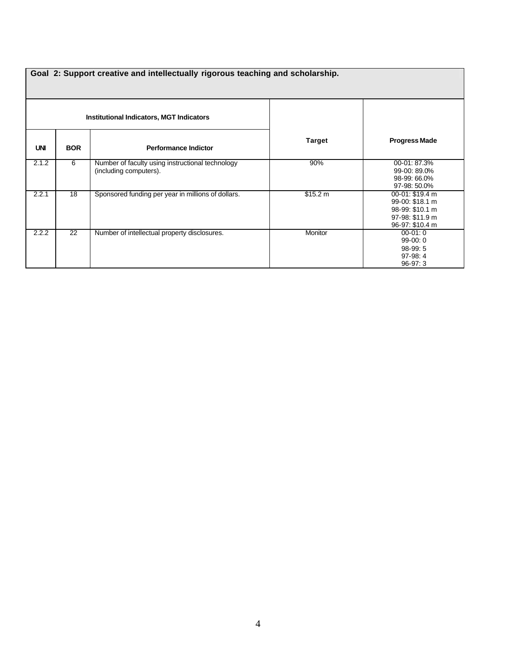|            | Goal 2: Support creative and intellectually rigorous teaching and scholarship. |                                                                            |               |                                                                                             |  |  |  |
|------------|--------------------------------------------------------------------------------|----------------------------------------------------------------------------|---------------|---------------------------------------------------------------------------------------------|--|--|--|
|            |                                                                                | Institutional Indicators, MGT Indicators                                   |               |                                                                                             |  |  |  |
| <b>UNI</b> | <b>BOR</b>                                                                     | <b>Performance Indictor</b>                                                | <b>Target</b> | <b>Progress Made</b>                                                                        |  |  |  |
| 2.1.2      | 6                                                                              | Number of faculty using instructional technology<br>(including computers). | 90%           | 00-01: 87.3%<br>99-00: 89.0%<br>98-99: 66.0%<br>97-98: 50.0%                                |  |  |  |
| 2.2.1      | 18                                                                             | Sponsored funding per year in millions of dollars.                         | \$15.2 m      | 00-01: \$19.4 m<br>99-00: \$18.1 m<br>98-99: \$10.1 m<br>97-98: \$11.9 m<br>96-97: \$10.4 m |  |  |  |
| 2.2.2      | 22                                                                             | Number of intellectual property disclosures.                               | Monitor       | $00-01:0$<br>$99-00:0$<br>$98-99:5$<br>97-98:4<br>$96-97:3$                                 |  |  |  |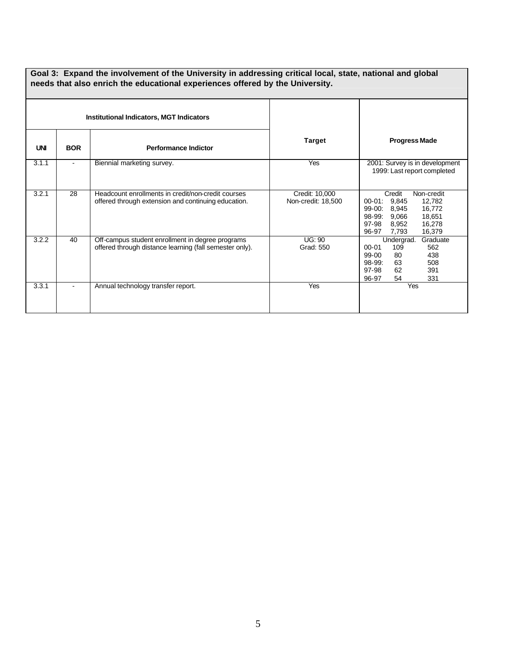#### **Goal 3: Expand the involvement of the University in addressing critical local, state, national and global needs that also enrich the educational experiences offered by the University.**

| <b>Institutional Indicators, MGT Indicators</b> |                |                                                                                                             |                                      | <b>Progress Made</b>                                                                                                                                                |
|-------------------------------------------------|----------------|-------------------------------------------------------------------------------------------------------------|--------------------------------------|---------------------------------------------------------------------------------------------------------------------------------------------------------------------|
| <b>UNI</b>                                      | <b>BOR</b>     | <b>Performance Indictor</b>                                                                                 | Target                               |                                                                                                                                                                     |
| 3.1.1                                           | $\blacksquare$ | Biennial marketing survey.                                                                                  | Yes                                  | 2001: Survey is in development<br>1999: Last report completed                                                                                                       |
| 3.2.1                                           | 28             | Headcount enrollments in credit/non-credit courses<br>offered through extension and continuing education.   | Credit: 10,000<br>Non-credit: 18,500 | Credit<br>Non-credit<br>9,845<br>12,782<br>00-01:<br>8,945<br>16,772<br>99-00:<br>18,651<br>98-99:<br>9,066<br>97-98<br>8,952<br>16,278<br>16,379<br>96-97<br>7,793 |
| 3.2.2                                           | 40             | Off-campus student enrollment in degree programs<br>offered through distance learning (fall semester only). | <b>UG: 90</b><br>Grad: 550           | Graduate<br>Undergrad.<br>109<br>$00 - 01$<br>562<br>80<br>99-00<br>438<br>98-99:<br>63<br>508<br>97-98<br>62<br>391<br>54<br>96-97<br>331                          |
| 3.3.1                                           |                | Annual technology transfer report.                                                                          | Yes                                  | Yes                                                                                                                                                                 |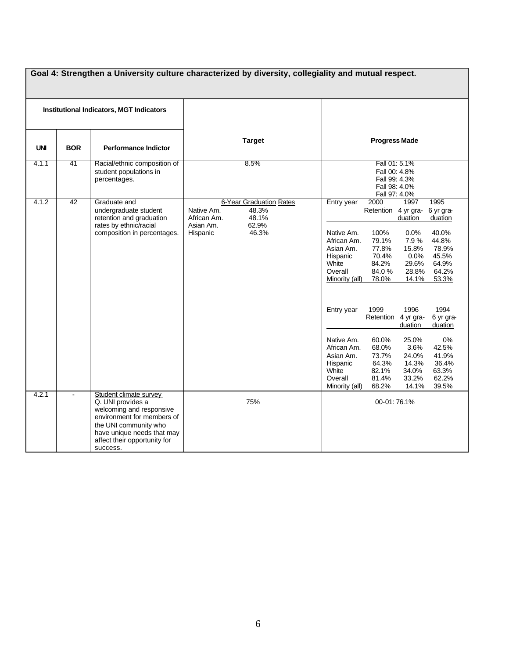|            | Goal 4: Strengthen a University culture characterized by diversity, collegiality and mutual respect. |                                                                                                                                                                                                          |                                                                                                                          |                                                                                                                                                                                                                                                                                                                                                                                                                                                                                                                                                                                                                                                                                                                                                                           |  |
|------------|------------------------------------------------------------------------------------------------------|----------------------------------------------------------------------------------------------------------------------------------------------------------------------------------------------------------|--------------------------------------------------------------------------------------------------------------------------|---------------------------------------------------------------------------------------------------------------------------------------------------------------------------------------------------------------------------------------------------------------------------------------------------------------------------------------------------------------------------------------------------------------------------------------------------------------------------------------------------------------------------------------------------------------------------------------------------------------------------------------------------------------------------------------------------------------------------------------------------------------------------|--|
|            |                                                                                                      | <b>Institutional Indicators, MGT Indicators</b>                                                                                                                                                          |                                                                                                                          |                                                                                                                                                                                                                                                                                                                                                                                                                                                                                                                                                                                                                                                                                                                                                                           |  |
| <b>UNI</b> | <b>BOR</b>                                                                                           | <b>Performance Indictor</b>                                                                                                                                                                              | <b>Target</b>                                                                                                            | <b>Progress Made</b>                                                                                                                                                                                                                                                                                                                                                                                                                                                                                                                                                                                                                                                                                                                                                      |  |
| 4.1.1      | 41                                                                                                   | Racial/ethnic composition of<br>student populations in<br>percentages.                                                                                                                                   | 8.5%                                                                                                                     | Fall 01: 5.1%<br>Fall 00: 4.8%<br>Fall 99: 4.3%<br>Fall 98: 4.0%<br>Fall 97: 4.0%                                                                                                                                                                                                                                                                                                                                                                                                                                                                                                                                                                                                                                                                                         |  |
| 4.1.2      | $\overline{42}$                                                                                      | Graduate and<br>undergraduate student<br>retention and graduation<br>rates by ethnic/racial<br>composition in percentages.                                                                               | <b>6-Year Graduation Rates</b><br>Native Am.<br>48.3%<br>48.1%<br>African Am.<br>62.9%<br>Asian Am.<br>Hispanic<br>46.3% | 2000<br>1997<br>1995<br>Entry year<br>Retention 4 yr gra-<br>6 yr gra-<br>duation<br>duation<br>40.0%<br>Native Am.<br>100%<br>$0.0\%$<br>7.9%<br>44.8%<br>African Am.<br>79.1%<br>77.8%<br>15.8%<br>78.9%<br>Asian Am.<br>Hispanic<br>70.4%<br>0.0%<br>45.5%<br>White<br>84.2%<br>29.6%<br>64.9%<br>84.0%<br>64.2%<br>Overall<br>28.8%<br>Minority (all)<br>78.0%<br>14.1%<br>53.3%<br>1999<br>1994<br>Entry year<br>1996<br>Retention 4 yr gra-<br>6 yr gra-<br>duation<br>duation<br>Native Am.<br>60.0%<br>25.0%<br>0%<br>68.0%<br>3.6%<br>42.5%<br>African Am.<br>73.7%<br>41.9%<br>Asian Am.<br>24.0%<br>64.3%<br>14.3%<br>36.4%<br>Hispanic<br>White<br>82.1%<br>34.0%<br>63.3%<br>81.4%<br>62.2%<br>Overall<br>33.2%<br>68.2%<br>14.1%<br>39.5%<br>Minority (all) |  |
| 4.2.1      | $\blacksquare$                                                                                       | Student climate survey<br>Q. UNI provides a<br>welcoming and responsive<br>environment for members of<br>the UNI community who<br>have unique needs that may<br>affect their opportunity for<br>success. | 75%                                                                                                                      | 00-01:76.1%                                                                                                                                                                                                                                                                                                                                                                                                                                                                                                                                                                                                                                                                                                                                                               |  |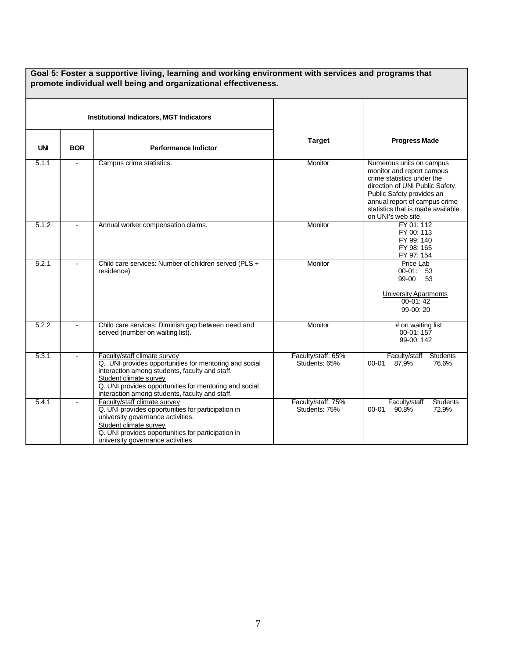|            |                | <b>Institutional Indicators, MGT Indicators</b>                                                                                                                                                                                                                                |                                     |                                                                                                                                                                                                                                                 |
|------------|----------------|--------------------------------------------------------------------------------------------------------------------------------------------------------------------------------------------------------------------------------------------------------------------------------|-------------------------------------|-------------------------------------------------------------------------------------------------------------------------------------------------------------------------------------------------------------------------------------------------|
| <b>UNI</b> | <b>BOR</b>     | <b>Performance Indictor</b>                                                                                                                                                                                                                                                    | <b>Target</b>                       | <b>Progress Made</b>                                                                                                                                                                                                                            |
| 5.1.1      | $\blacksquare$ | Campus crime statistics.                                                                                                                                                                                                                                                       | Monitor                             | Numerous units on campus<br>monitor and report campus<br>crime statistics under the<br>direction of UNI Public Safety.<br>Public Safety provides an<br>annual report of campus crime<br>statistics that is made available<br>on UNI's web site. |
| 5.1.2      |                | Annual worker compensation claims.                                                                                                                                                                                                                                             | Monitor                             | FY 01: 112<br>FY 00: 113<br>FY 99: 140<br>FY 98: 165<br>FY 97: 154                                                                                                                                                                              |
| 5.2.1      |                | Child care services: Number of children served (PLS +<br>residence)                                                                                                                                                                                                            | Monitor                             | Price Lab<br>$00-01: 53$<br>99-00<br>53<br><b>University Apartments</b><br>$00-01:42$<br>99-00:20                                                                                                                                               |
| 5.2.2      |                | Child care services: Diminish gap between need and<br>served (number on waiting list).                                                                                                                                                                                         | Monitor                             | # on waiting list<br>00-01:157<br>99-00: 142                                                                                                                                                                                                    |
| 5.3.1      |                | Faculty/staff climate survey<br>Q. UNI provides opportunities for mentoring and social<br>interaction among students, faculty and staff.<br>Student climate survey<br>Q. UNI provides opportunities for mentoring and social<br>interaction among students, faculty and staff. | Faculty/staff: 65%<br>Students: 65% | Faculty/staff<br><b>Students</b><br>00-01<br>87.9%<br>76.6%                                                                                                                                                                                     |
| 5.4.1      |                | Faculty/staff climate survey<br>Q. UNI provides opportunities for participation in<br>university governance activities.<br>Student climate survey<br>Q. UNI provides opportunities for participation in<br>university governance activities.                                   | Faculty/staff: 75%<br>Students: 75% | Faculty/staff<br><b>Students</b><br>90.8%<br>72.9%<br>$00 - 01$                                                                                                                                                                                 |

# **Goal 5: Foster a supportive living, learning and working environment with services and programs that**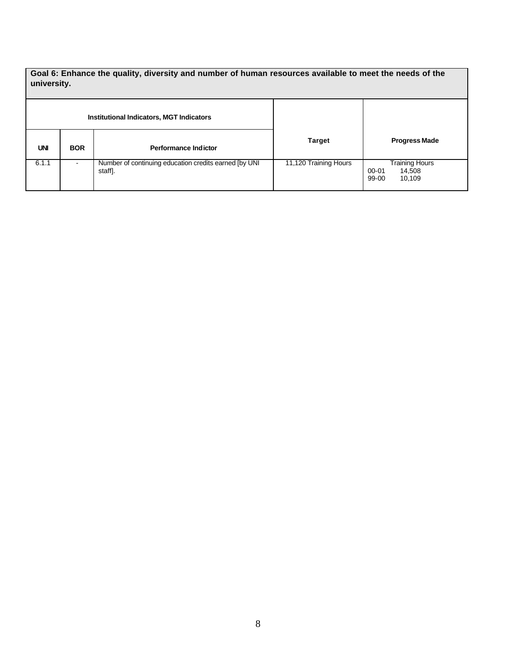**Goal 6: Enhance the quality, diversity and number of human resources available to meet the needs of the university.**

| <b>Institutional Indicators, MGT Indicators</b> |            |                                                                  |                       |                                                             |
|-------------------------------------------------|------------|------------------------------------------------------------------|-----------------------|-------------------------------------------------------------|
| <b>UNI</b>                                      | <b>BOR</b> | Performance Indictor                                             | <b>Target</b>         | <b>Progress Made</b>                                        |
| 6.1.1                                           | -          | Number of continuing education credits earned [by UNI<br>staff]. | 11,120 Training Hours | <b>Training Hours</b><br>00-01<br>14,508<br>99-00<br>10,109 |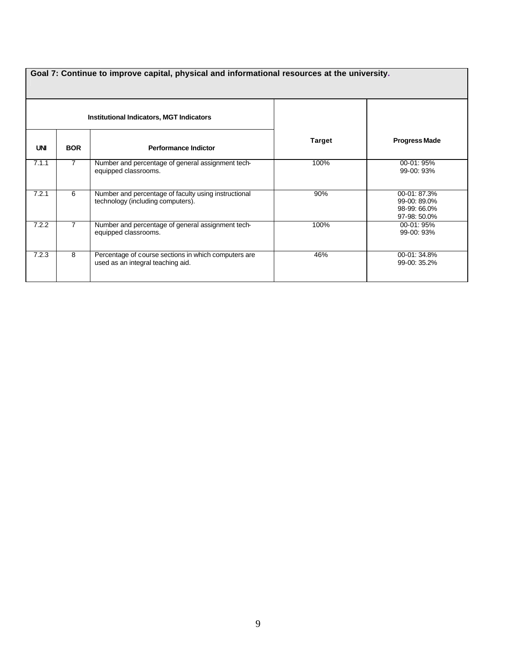| Goal 7: Continue to improve capital, physical and informational resources at the university. |                |                                                                                           |               |                                                              |  |
|----------------------------------------------------------------------------------------------|----------------|-------------------------------------------------------------------------------------------|---------------|--------------------------------------------------------------|--|
|                                                                                              |                | <b>Institutional Indicators, MGT Indicators</b>                                           |               |                                                              |  |
| <b>UNI</b>                                                                                   | <b>BOR</b>     | <b>Performance Indictor</b>                                                               | <b>Target</b> | <b>Progress Made</b>                                         |  |
| 7.1.1                                                                                        | $\overline{7}$ | Number and percentage of general assignment tech-<br>equipped classrooms.                 | 100%          | 00-01: 95%<br>$99-00:93%$                                    |  |
| 7.2.1                                                                                        | 6              | Number and percentage of faculty using instructional<br>technology (including computers). | 90%           | 00-01: 87.3%<br>99-00: 89.0%<br>98-99: 66.0%<br>97-98: 50.0% |  |
| 7.2.2                                                                                        |                | Number and percentage of general assignment tech-<br>equipped classrooms.                 | 100%          | 00-01: 95%<br>99-00: 93%                                     |  |
| 7.2.3                                                                                        | 8              | Percentage of course sections in which computers are<br>used as an integral teaching aid. | 46%           | 00-01: 34.8%<br>99-00: 35.2%                                 |  |